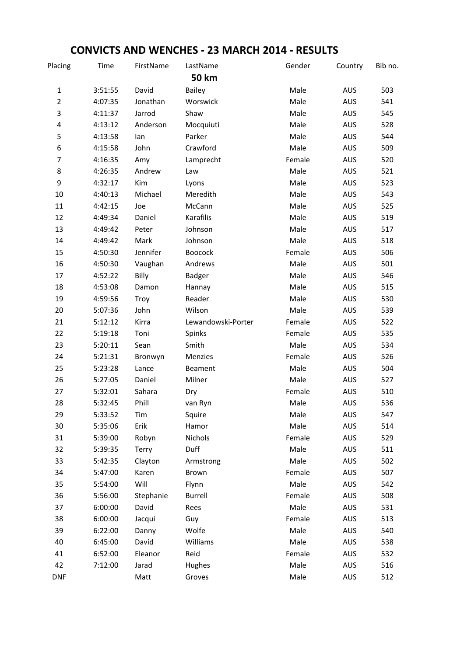## CONVICTS AND WENCHES - 23 MARCH 2014 - RESULTS

| Placing                  | Time    | FirstName | LastName           | Gender | Country    | Bib no. |
|--------------------------|---------|-----------|--------------------|--------|------------|---------|
|                          |         |           | <b>50 km</b>       |        |            |         |
| $\mathbf 1$              | 3:51:55 | David     | Bailey             | Male   | <b>AUS</b> | 503     |
| $\overline{2}$           | 4:07:35 | Jonathan  | Worswick           | Male   | <b>AUS</b> | 541     |
| 3                        | 4:11:37 | Jarrod    | Shaw               | Male   | <b>AUS</b> | 545     |
| 4                        | 4:13:12 | Anderson  | Mocquiuti          | Male   | <b>AUS</b> | 528     |
| 5                        | 4:13:58 | lan       | Parker             | Male   | <b>AUS</b> | 544     |
| 6                        | 4:15:58 | John      | Crawford           | Male   | <b>AUS</b> | 509     |
| $\overline{\mathcal{I}}$ | 4:16:35 | Amy       | Lamprecht          | Female | <b>AUS</b> | 520     |
| 8                        | 4:26:35 | Andrew    | Law                | Male   | <b>AUS</b> | 521     |
| 9                        | 4:32:17 | Kim       | Lyons              | Male   | <b>AUS</b> | 523     |
| 10                       | 4:40:13 | Michael   | Meredith           | Male   | <b>AUS</b> | 543     |
| $11\,$                   | 4:42:15 | Joe       | McCann             | Male   | <b>AUS</b> | 525     |
| 12                       | 4:49:34 | Daniel    | Karafilis          | Male   | <b>AUS</b> | 519     |
| 13                       | 4:49:42 | Peter     | Johnson            | Male   | <b>AUS</b> | 517     |
| 14                       | 4:49:42 | Mark      | Johnson            | Male   | <b>AUS</b> | 518     |
| 15                       | 4:50:30 | Jennifer  | <b>Boocock</b>     | Female | <b>AUS</b> | 506     |
| 16                       | 4:50:30 | Vaughan   | Andrews            | Male   | <b>AUS</b> | 501     |
| 17                       | 4:52:22 | Billy     | Badger             | Male   | <b>AUS</b> | 546     |
| 18                       | 4:53:08 | Damon     | Hannay             | Male   | <b>AUS</b> | 515     |
| 19                       | 4:59:56 | Troy      | Reader             | Male   | <b>AUS</b> | 530     |
| 20                       | 5:07:36 | John      | Wilson             | Male   | <b>AUS</b> | 539     |
| 21                       | 5:12:12 | Kirra     | Lewandowski-Porter | Female | <b>AUS</b> | 522     |
| 22                       | 5:19:18 | Toni      | Spinks             | Female | <b>AUS</b> | 535     |
| 23                       | 5:20:11 | Sean      | Smith              | Male   | <b>AUS</b> | 534     |
| 24                       | 5:21:31 | Bronwyn   | Menzies            | Female | <b>AUS</b> | 526     |
| 25                       | 5:23:28 | Lance     | Beament            | Male   | <b>AUS</b> | 504     |
| 26                       | 5:27:05 | Daniel    | Milner             | Male   | <b>AUS</b> | 527     |
| 27                       | 5:32:01 | Sahara    | Dry                | Female | <b>AUS</b> | 510     |
| 28                       | 5:32:45 | Phill     | van Ryn            | Male   | <b>AUS</b> | 536     |
| 29                       | 5:33:52 | Tim       | Squire             | Male   | <b>AUS</b> | 547     |
| 30                       | 5:35:06 | Erik      | Hamor              | Male   | <b>AUS</b> | 514     |
| 31                       | 5:39:00 | Robyn     | Nichols            | Female | <b>AUS</b> | 529     |
| 32                       | 5:39:35 | Terry     | Duff               | Male   | <b>AUS</b> | 511     |
| 33                       | 5:42:35 | Clayton   | Armstrong          | Male   | <b>AUS</b> | 502     |
| 34                       | 5:47:00 | Karen     | Brown              | Female | <b>AUS</b> | 507     |
| 35                       | 5:54:00 | Will      | Flynn              | Male   | <b>AUS</b> | 542     |
| 36                       | 5:56:00 | Stephanie | Burrell            | Female | <b>AUS</b> | 508     |
| 37                       | 6:00:00 | David     | Rees               | Male   | <b>AUS</b> | 531     |
| 38                       | 6:00:00 | Jacqui    | Guy                | Female | <b>AUS</b> | 513     |
| 39                       | 6:22:00 | Danny     | Wolfe              | Male   | <b>AUS</b> | 540     |
| 40                       | 6:45:00 | David     | Williams           | Male   | <b>AUS</b> | 538     |
| 41                       | 6:52:00 | Eleanor   | Reid               | Female | AUS        | 532     |
| 42                       | 7:12:00 | Jarad     | Hughes             | Male   | <b>AUS</b> | 516     |
| <b>DNF</b>               |         | Matt      | Groves             | Male   | AUS        | 512     |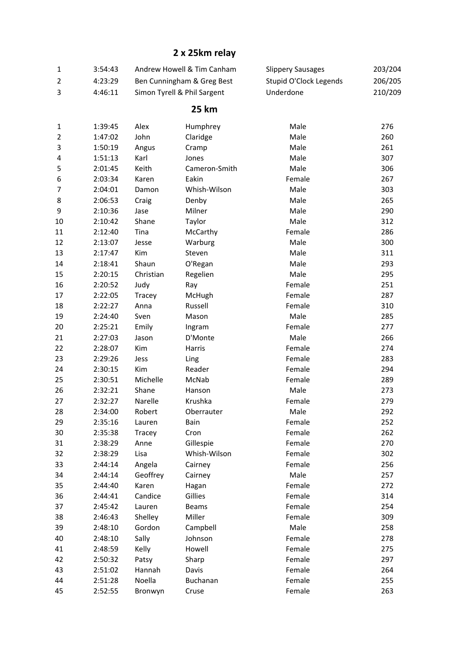## 2 x 25km relay

|   | 3:54:43 | Andrew Howell & Tim Canham  | Slippery Sausages      | 203/204 |
|---|---------|-----------------------------|------------------------|---------|
|   | 4:23:29 | Ben Cunningham & Greg Best  | Stupid O'Clock Legends | 206/205 |
| 3 | 4:46:11 | Simon Tyrell & Phil Sargent | Underdone              | 210/209 |

## 25 km

| $\mathbf{1}$   | 1:39:45 | Alex      | Humphrey      | Male   | 276 |
|----------------|---------|-----------|---------------|--------|-----|
| $\overline{2}$ | 1:47:02 | John      | Claridge      | Male   | 260 |
| 3              | 1:50:19 | Angus     | Cramp         | Male   | 261 |
| 4              | 1:51:13 | Karl      | Jones         | Male   | 307 |
| 5              | 2:01:45 | Keith     | Cameron-Smith | Male   | 306 |
| 6              | 2:03:34 | Karen     | Eakin         | Female | 267 |
| $\overline{7}$ | 2:04:01 | Damon     | Whish-Wilson  | Male   | 303 |
| 8              | 2:06:53 | Craig     | Denby         | Male   | 265 |
| 9              | 2:10:36 | Jase      | Milner        | Male   | 290 |
| 10             | 2:10:42 | Shane     | Taylor        | Male   | 312 |
| 11             | 2:12:40 | Tina      | McCarthy      | Female | 286 |
| 12             | 2:13:07 | Jesse     | Warburg       | Male   | 300 |
| 13             | 2:17:47 | Kim       | Steven        | Male   | 311 |
| 14             | 2:18:41 | Shaun     | O'Regan       | Male   | 293 |
| 15             | 2:20:15 | Christian | Regelien      | Male   | 295 |
| 16             | 2:20:52 | Judy      | Ray           | Female | 251 |
| 17             | 2:22:05 | Tracey    | McHugh        | Female | 287 |
| 18             | 2:22:27 | Anna      | Russell       | Female | 310 |
| 19             | 2:24:40 | Sven      | Mason         | Male   | 285 |
| 20             | 2:25:21 | Emily     | Ingram        | Female | 277 |
| 21             | 2:27:03 | Jason     | D'Monte       | Male   | 266 |
| 22             | 2:28:07 | Kim       | Harris        | Female | 274 |
| 23             | 2:29:26 | Jess      | Ling          | Female | 283 |
| 24             | 2:30:15 | Kim       | Reader        | Female | 294 |
| 25             | 2:30:51 | Michelle  | McNab         | Female | 289 |
| 26             | 2:32:21 | Shane     | Hanson        | Male   | 273 |
| 27             | 2:32:27 | Narelle   | Krushka       | Female | 279 |
| 28             | 2:34:00 | Robert    | Oberrauter    | Male   | 292 |
| 29             | 2:35:16 | Lauren    | Bain          | Female | 252 |
| 30             | 2:35:38 | Tracey    | Cron          | Female | 262 |
| 31             | 2:38:29 | Anne      | Gillespie     | Female | 270 |
| 32             | 2:38:29 | Lisa      | Whish-Wilson  | Female | 302 |
| 33             | 2:44:14 | Angela    | Cairney       | Female | 256 |
| 34             | 2:44:14 | Geoffrey  | Cairney       | Male   | 257 |
| 35             | 2:44:40 | Karen     | Hagan         | Female | 272 |
| 36             | 2:44:41 | Candice   | Gillies       | Female | 314 |
| 37             | 2:45:42 | Lauren    | <b>Beams</b>  | Female | 254 |
| 38             | 2:46:43 | Shelley   | Miller        | Female | 309 |
| 39             | 2:48:10 | Gordon    | Campbell      | Male   | 258 |
| 40             | 2:48:10 | Sally     | Johnson       | Female | 278 |
| 41             | 2:48:59 | Kelly     | Howell        | Female | 275 |
| 42             | 2:50:32 | Patsy     | Sharp         | Female | 297 |
| 43             | 2:51:02 | Hannah    | Davis         | Female | 264 |
| 44             | 2:51:28 | Noella    | Buchanan      | Female | 255 |
| 45             | 2:52:55 | Bronwyn   | Cruse         | Female | 263 |
|                |         |           |               |        |     |